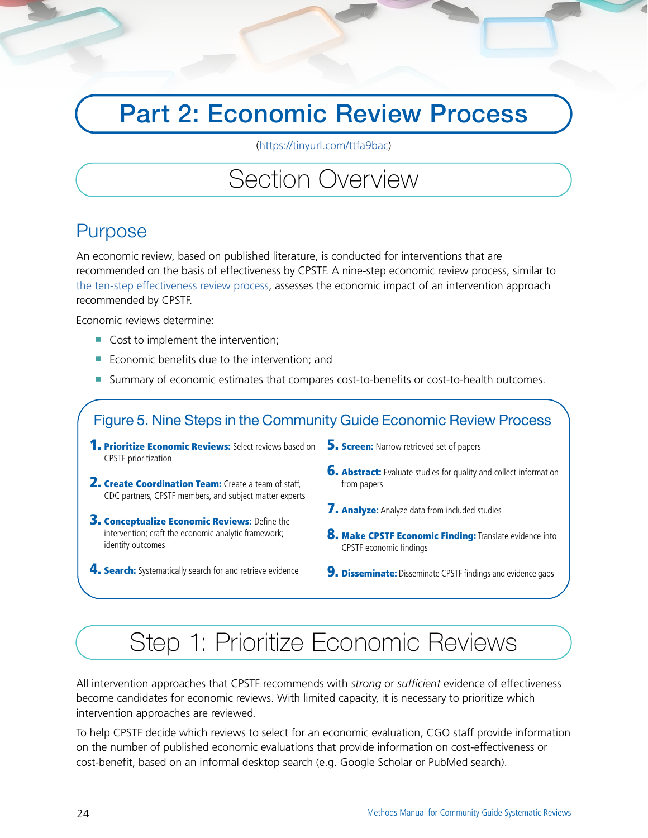## Part 2: Economic Review Process

[\(https://tinyurl.com/ttfa9bac\)](https://tinyurl.com/ttfa9bac)

### Section Overview

### Purpose

An economic review, based on published literature, is conducted for interventions that are recommended on the basis of effectiveness by CPSTF. A nine-step economic review process, similar to [the ten-step effectiveness review process](#page--1-0), assesses the economic impact of an intervention approach recommended by CPSTF.

Economic reviews determine:

- Cost to implement the intervention;
- Economic benefits due to the intervention; and
- Summary of economic estimates that compares cost-to-benefits or cost-to-health outcomes.

#### Figure 5. Nine Steps in the Community Guide Economic Review Process

- **1. Prioritize Economic Reviews:** Select reviews based on CPSTF prioritization
- 2. Create Coordination Team: Create a team of staff, CDC partners, CPSTF members, and subject matter experts
- **3. Conceptualize Economic Reviews:** Define the intervention; craft the economic analytic framework; identify outcomes
- **4. Search:** Systematically search for and retrieve evidence
- **5. Screen:** Narrow retrieved set of papers
- **6. Abstract:** Evaluate studies for quality and collect information from papers
- **7. Analyze:** Analyze data from included studies
- **8. Make CPSTF Economic Finding:** Translate evidence into CPSTF economic findings
- **9. Disseminate:** Disseminate CPSTF findings and evidence gaps

## Step 1: Prioritize Economic Reviews

All intervention approaches that CPSTF recommends with *strong* or *sufficient* evidence of effectiveness become candidates for economic reviews. With limited capacity, it is necessary to prioritize which intervention approaches are reviewed.

To help CPSTF decide which reviews to select for an economic evaluation, CGO staff provide information on the number of published economic evaluations that provide information on cost-effectiveness or cost-benefit, based on an informal desktop search (e.g. Google Scholar or PubMed search).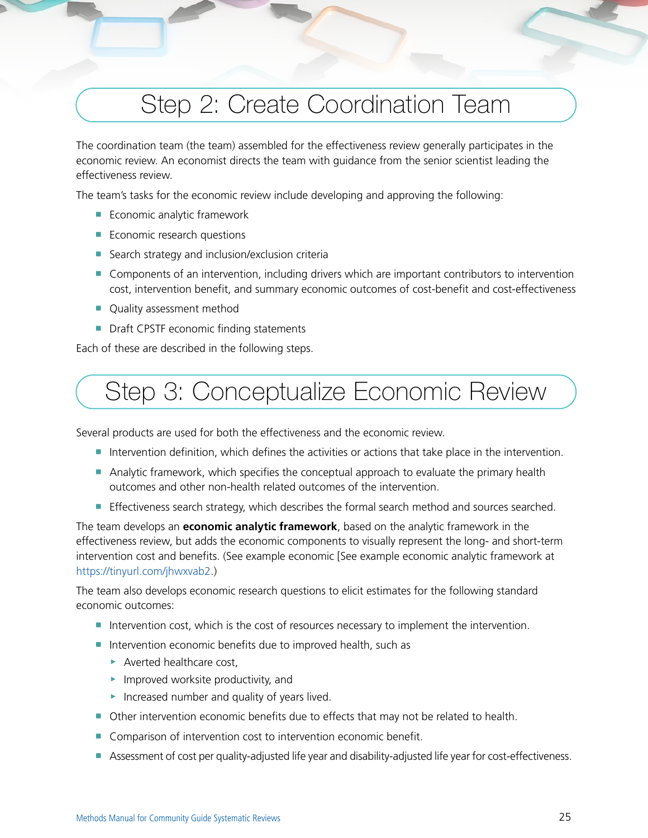# Step 2: Create Coordination Team

The coordination team (the team) assembled for the effectiveness review generally participates in the economic review. An economist directs the team with guidance from the senior scientist leading the effectiveness review.

The team's tasks for the economic review include developing and approving the following:

- Economic analytic framework
- Economic research questions
- Search strategy and inclusion/exclusion criteria
- Components of an intervention, including drivers which are important contributors to intervention cost, intervention benefit, and summary economic outcomes of cost-benefit and cost-effectiveness
- Quality assessment method
- Draft CPSTF economic finding statements

Each of these are described in the following steps.

## Step 3: Conceptualize Economic Review

Several products are used for both the effectiveness and the economic review.

- Intervention definition, which defines the activities or actions that take place in the intervention.
- Analytic framework, which specifies the conceptual approach to evaluate the primary health outcomes and other non-health related outcomes of the intervention.
- Effectiveness search strategy, which describes the formal search method and sources searched.

The team develops an **economic analytic framework**, based on the analytic framework in the effectiveness review, but adds the economic components to visually represent the long- and short-term intervention cost and benefits. (See example economic [See example economic analytic framework at <https://tinyurl.com/jhwxvab2>.)

The team also develops economic research questions to elicit estimates for the following standard economic outcomes:

- Intervention cost, which is the cost of resources necessary to implement the intervention.
- Intervention economic benefits due to improved health, such as
	- ▶ Averted healthcare cost,
	- $\blacktriangleright$  Improved worksite productivity, and
	- ▶ Increased number and quality of years lived.
- Other intervention economic benefits due to effects that may not be related to health.
- Comparison of intervention cost to intervention economic benefit.
- Assessment of cost per quality-adjusted life year and disability-adjusted life year for cost-effectiveness.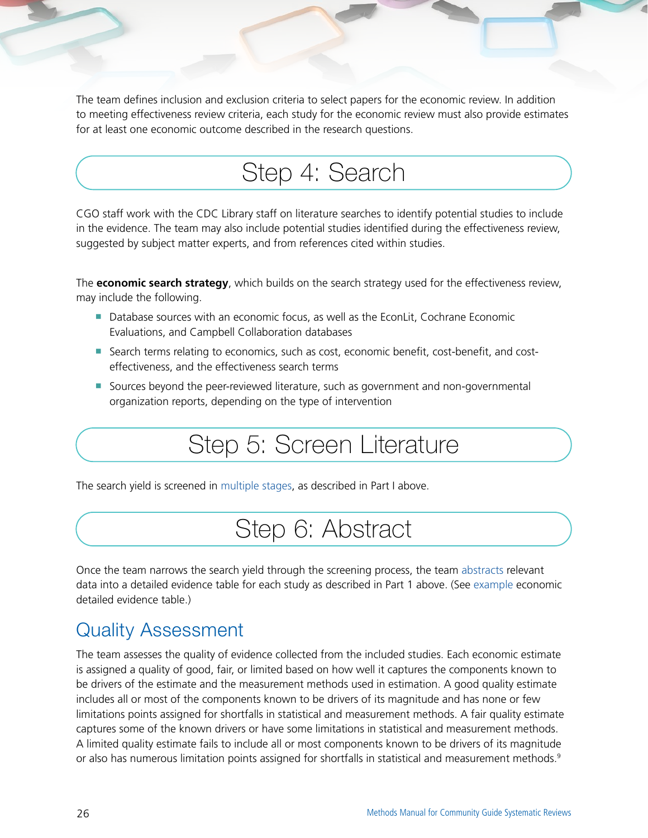The team defines inclusion and exclusion criteria to select papers for the economic review. In addition to meeting effectiveness review criteria, each study for the economic review must also provide estimates for at least one economic outcome described in the research questions.

## Step 4: Search

CGO staff work with the CDC Library staff on literature searches to identify potential studies to include in the evidence. The team may also include potential studies identified during the effectiveness review, suggested by subject matter experts, and from references cited within studies.

The **economic search strategy**, which builds on the search strategy used for the effectiveness review, may include the following.

- Database sources with an economic focus, as well as the EconLit, Cochrane Economic Evaluations, and Campbell Collaboration databases
- Search terms relating to economics, such as cost, economic benefit, cost-benefit, and costeffectiveness, and the effectiveness search terms
- Sources beyond the peer-reviewed literature, such as government and non-governmental organization reports, depending on the type of intervention

## Step 5: Screen Literature

The search yield is screened in [multiple stages,](#page--1-0) as described in Part I above.

## Step 6: Abstract

Once the team narrows the search yield through the screening process, the team [abstracts](#page--1-0) relevant data into a detailed evidence table for each study as described in Part 1 above. (See [example](#page--1-0) economic detailed evidence table.)

### Quality Assessment

The team assesses the quality of evidence collected from the included studies. Each economic estimate is assigned a quality of good, fair, or limited based on how well it captures the components known to be drivers of the estimate and the measurement methods used in estimation. A good quality estimate includes all or most of the components known to be drivers of its magnitude and has none or few limitations points assigned for shortfalls in statistical and measurement methods. A fair quality estimate captures some of the known drivers or have some limitations in statistical and measurement methods. A limited quality estimate fails to include all or most components known to be drivers of its magnitude or also has numerous limitation points assigned for shortfalls in statistical and measurement methods.<sup>9</sup>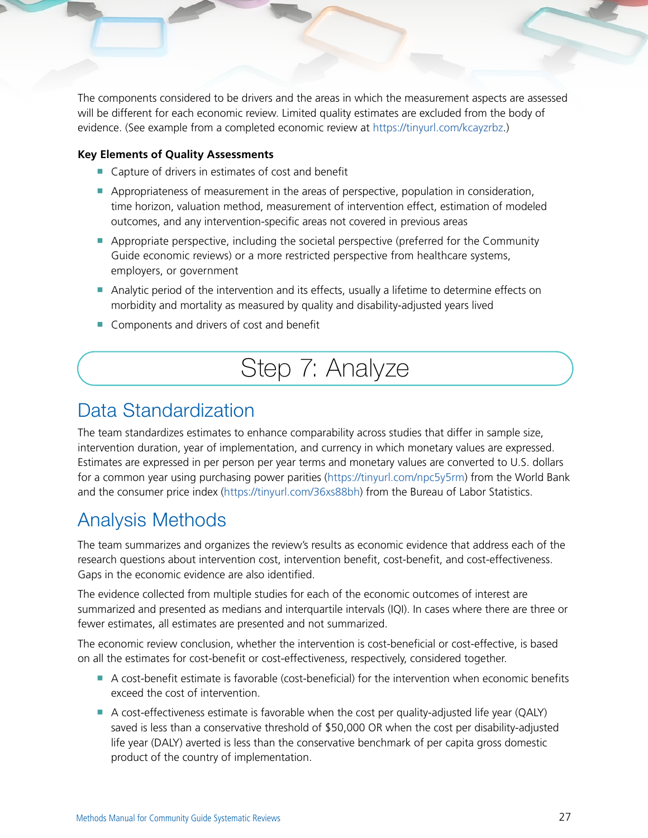The components considered to be drivers and the areas in which the measurement aspects are assessed will be different for each economic review. Limited quality estimates are excluded from the body of evidence. (See example from a completed economic review at [https://tinyurl.com/kcayzrbz.](https://tinyurl.com/kcayzrbz))

#### **Key Elements of Quality Assessments**

- Capture of drivers in estimates of cost and benefit
- Appropriateness of measurement in the areas of perspective, population in consideration, time horizon, valuation method, measurement of intervention effect, estimation of modeled outcomes, and any intervention-specific areas not covered in previous areas
- Appropriate perspective, including the societal perspective (preferred for the Community Guide economic reviews) or a more restricted perspective from healthcare systems, employers, or government
- Analytic period of the intervention and its effects, usually a lifetime to determine effects on morbidity and mortality as measured by quality and disability-adjusted years lived
- Components and drivers of cost and benefit

### Step 7: Analyze

#### Data Standardization

The team standardizes estimates to enhance comparability across studies that differ in sample size, intervention duration, year of implementation, and currency in which monetary values are expressed. Estimates are expressed in per person per year terms and monetary values are converted to U.S. dollars for a common year using purchasing power parities (<https://tinyurl.com/npc5y5rm>) from the World Bank and the consumer price index (<https://tinyurl.com/36xs88bh>) from the Bureau of Labor Statistics.

### Analysis Methods

The team summarizes and organizes the review's results as economic evidence that address each of the research questions about intervention cost, intervention benefit, cost-benefit, and cost-effectiveness. Gaps in the economic evidence are also identified.

The evidence collected from multiple studies for each of the economic outcomes of interest are summarized and presented as medians and interquartile intervals (IQI). In cases where there are three or fewer estimates, all estimates are presented and not summarized.

The economic review conclusion, whether the intervention is cost-beneficial or cost-effective, is based on all the estimates for cost-benefit or cost-effectiveness, respectively, considered together.

- A cost-benefit estimate is favorable (cost-beneficial) for the intervention when economic benefits exceed the cost of intervention.
- A cost-effectiveness estimate is favorable when the cost per quality-adjusted life year (QALY) saved is less than a conservative threshold of \$50,000 OR when the cost per disability-adjusted life year (DALY) averted is less than the conservative benchmark of per capita gross domestic product of the country of implementation.